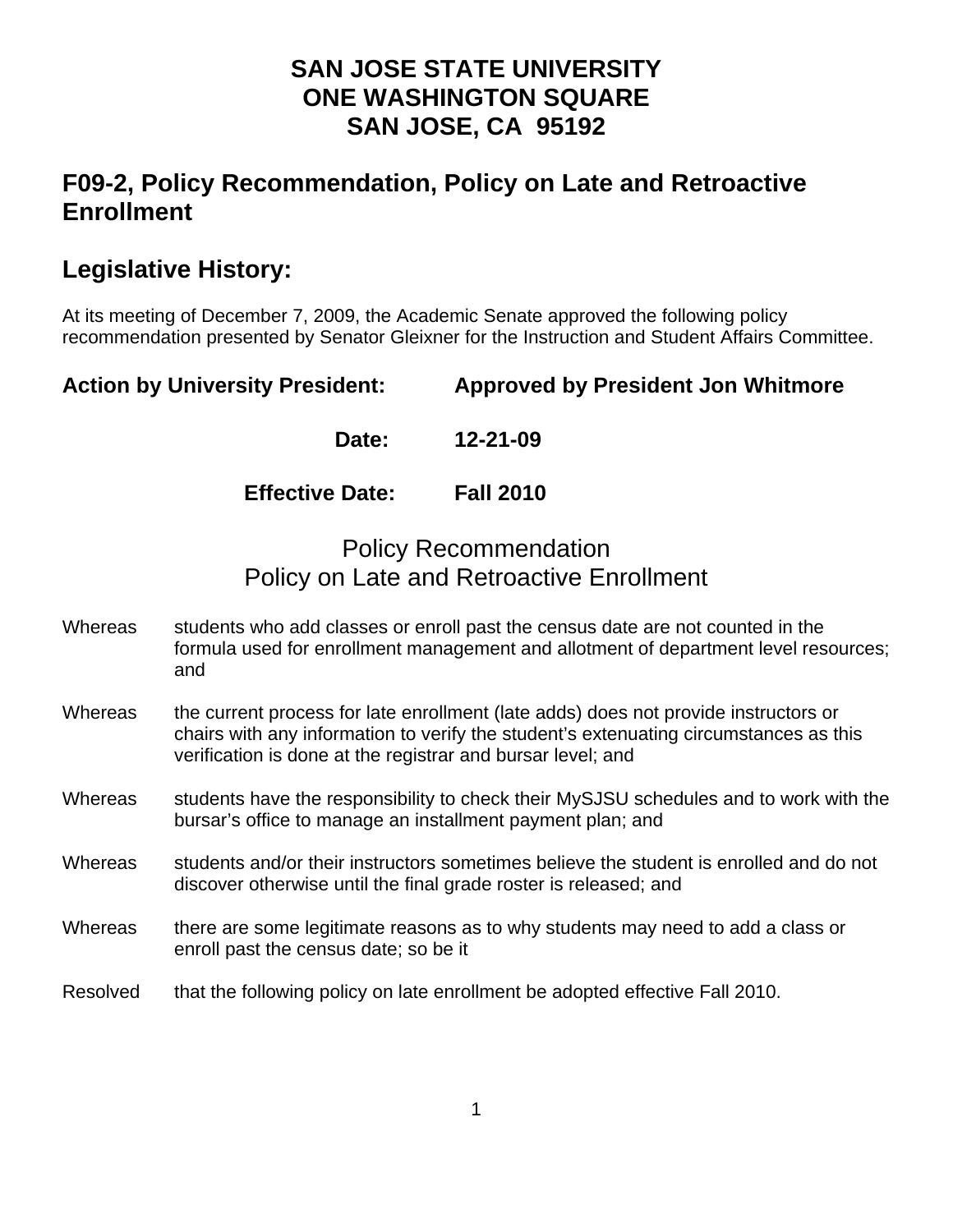## **SAN JOSE STATE UNIVERSITY ONE WASHINGTON SQUARE SAN JOSE, CA 95192**

# **F09-2, Policy Recommendation, Policy on Late and Retroactive Enrollment**

# **Legislative History:**

At its meeting of December 7, 2009, the Academic Senate approved the following policy recommendation presented by Senator Gleixner for the Instruction and Student Affairs Committee.

**Action by University President: Approved by President Jon Whitmore** 

 **Date: 12-21-09** 

**Effective Date: Fall 2010** 

## Policy Recommendation Policy on Late and Retroactive Enrollment

- Whereas students who add classes or enroll past the census date are not counted in the formula used for enrollment management and allotment of department level resources; and
- Whereas the current process for late enrollment (late adds) does not provide instructors or chairs with any information to verify the student's extenuating circumstances as this verification is done at the registrar and bursar level; and
- Whereas students have the responsibility to check their MySJSU schedules and to work with the bursar's office to manage an installment payment plan; and
- Whereas students and/or their instructors sometimes believe the student is enrolled and do not discover otherwise until the final grade roster is released; and
- Whereas there are some legitimate reasons as to why students may need to add a class or enroll past the census date; so be it
- Resolved that the following policy on late enrollment be adopted effective Fall 2010.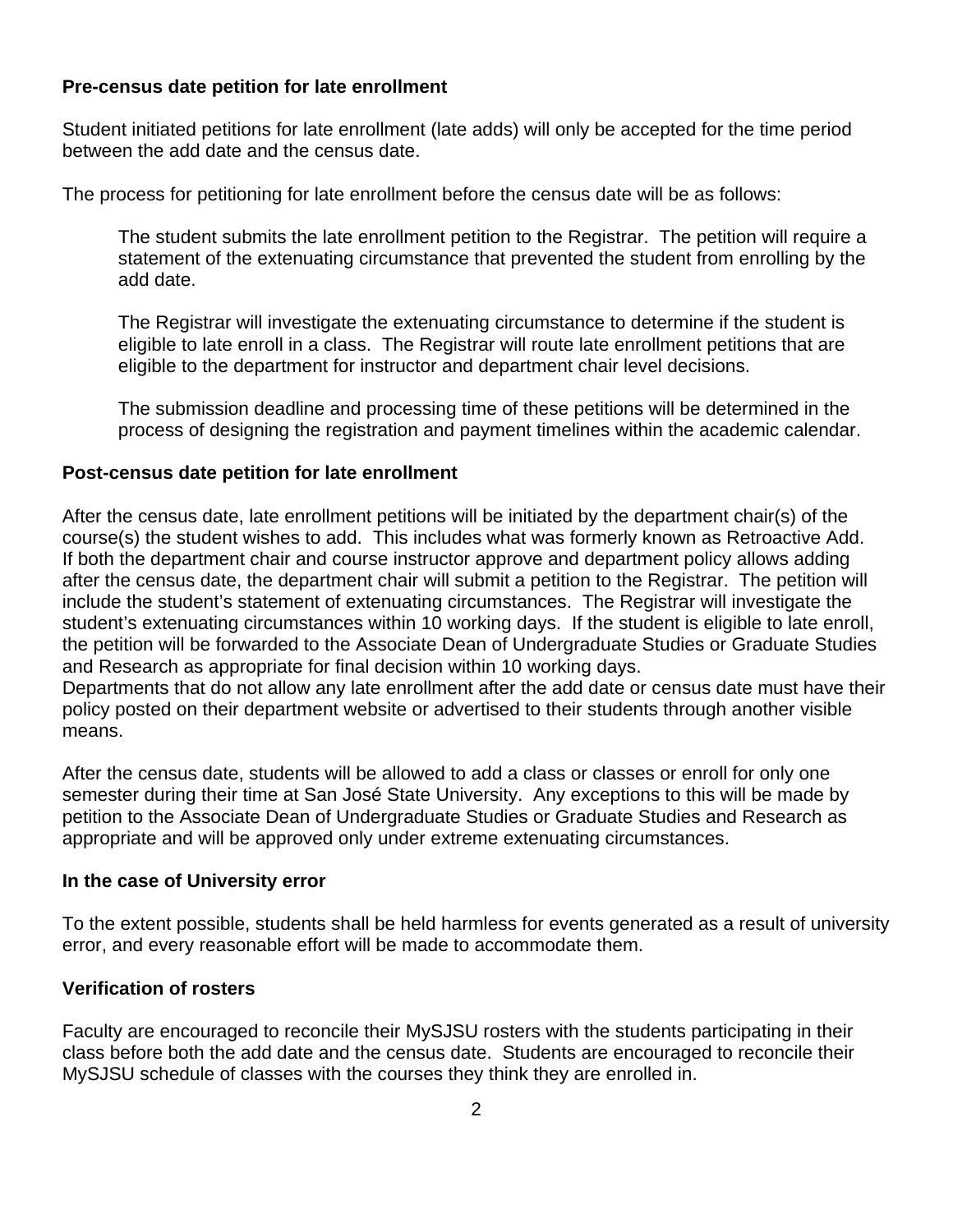#### **Pre-census date petition for late enrollment**

Student initiated petitions for late enrollment (late adds) will only be accepted for the time period between the add date and the census date.

The process for petitioning for late enrollment before the census date will be as follows:

The student submits the late enrollment petition to the Registrar. The petition will require a statement of the extenuating circumstance that prevented the student from enrolling by the add date.

The Registrar will investigate the extenuating circumstance to determine if the student is eligible to late enroll in a class. The Registrar will route late enrollment petitions that are eligible to the department for instructor and department chair level decisions.

The submission deadline and processing time of these petitions will be determined in the process of designing the registration and payment timelines within the academic calendar.

### **Post-census date petition for late enrollment**

After the census date, late enrollment petitions will be initiated by the department chair(s) of the course(s) the student wishes to add. This includes what was formerly known as Retroactive Add. If both the department chair and course instructor approve and department policy allows adding after the census date, the department chair will submit a petition to the Registrar. The petition will include the student's statement of extenuating circumstances. The Registrar will investigate the student's extenuating circumstances within 10 working days. If the student is eligible to late enroll, the petition will be forwarded to the Associate Dean of Undergraduate Studies or Graduate Studies and Research as appropriate for final decision within 10 working days.

Departments that do not allow any late enrollment after the add date or census date must have their policy posted on their department website or advertised to their students through another visible means.

After the census date, students will be allowed to add a class or classes or enroll for only one semester during their time at San José State University. Any exceptions to this will be made by petition to the Associate Dean of Undergraduate Studies or Graduate Studies and Research as appropriate and will be approved only under extreme extenuating circumstances.

#### **In the case of University error**

To the extent possible, students shall be held harmless for events generated as a result of university error, and every reasonable effort will be made to accommodate them.

### **Verification of rosters**

Faculty are encouraged to reconcile their MySJSU rosters with the students participating in their class before both the add date and the census date. Students are encouraged to reconcile their MySJSU schedule of classes with the courses they think they are enrolled in.